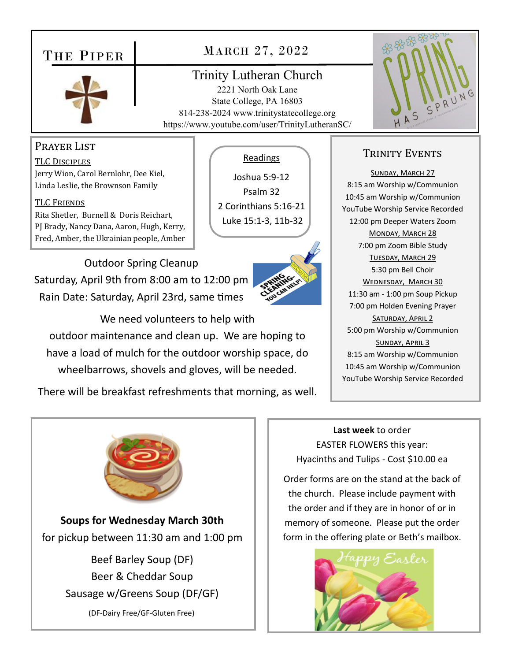## THE PIPER



## MARCH 27, 2022

## Trinity Lutheran Church

2221 North Oak Lane State College, PA 16803 814-238-2024 www.trinitystatecollege.org https://www.youtube.com/user/TrinityLutheranSC/



#### Prayer List

TLC DISCIPLES Jerry Wion, Carol Bernlohr, Dee Kiel, Linda Leslie, the Brownson Family

#### TLC FRIENDS

Rita Shetler, Burnell & Doris Reichart, PJ Brady, Nancy Dana, Aaron, Hugh, Kerry, Fred, Amber, the Ukrainian people, Amber

Outdoor Spring Cleanup Saturday, April 9th from 8:00 am to 12:00 pm Rain Date: Saturday, April 23rd, same times



We need volunteers to help with outdoor maintenance and clean up. We are hoping to have a load of mulch for the outdoor worship space, do wheelbarrows, shovels and gloves, will be needed.

There will be breakfast refreshments that morning, as well.



**Soups for Wednesday March 30th**  for pickup between 11:30 am and 1:00 pm

> Beef Barley Soup (DF) Beer & Cheddar Soup Sausage w/Greens Soup (DF/GF)

> > (DF‐Dairy Free/GF‐Gluten Free)

#### Readings

Joshua 5:9‐12 Psalm 32 2 Corinthians 5:16‐21 Luke 15:1‐3, 11b‐32

### TRINITY EVENTS

SUNDAY, MARCH 27 8:15 am Worship w/Communion 10:45 am Worship w/Communion YouTube Worship Service Recorded 12:00 pm Deeper Waters Zoom MONDAY, MARCH 28 7:00 pm Zoom Bible Study TUESDAY, MARCH 29 5:30 pm Bell Choir WEDNESDAY, MARCH 30 11:30 am ‐ 1:00 pm Soup Pickup 7:00 pm Holden Evening Prayer SATURDAY, APRIL 2 5:00 pm Worship w/Communion SUNDAY, APRIL 3 8:15 am Worship w/Communion 10:45 am Worship w/Communion YouTube Worship Service Recorded

**Last week** to order EASTER FLOWERS this year: Hyacinths and Tulips ‐ Cost \$10.00 ea

Order forms are on the stand at the back of the church. Please include payment with the order and if they are in honor of or in memory of someone. Please put the order form in the offering plate or Beth's mailbox.